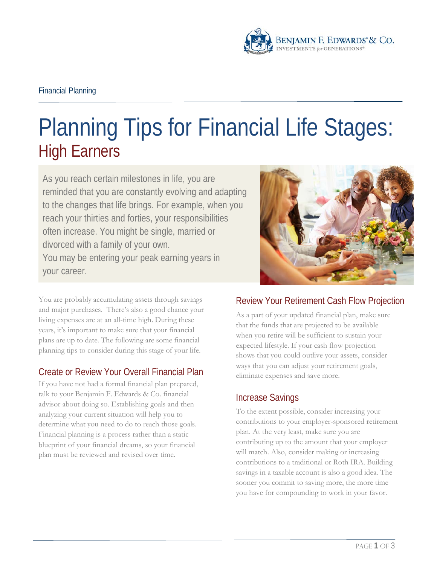

# Planning Tips for Financial Life Stages: High Earners

As you reach certain milestones in life, you are reminded that you are constantly evolving and adapting to the changes that life brings. For example, when you reach your thirties and forties, your responsibilities often increase. You might be single, married or divorced with a family of your own. You may be entering your peak earning years in your career.

You are probably accumulating assets through savings and major purchases. There's also a good chance your living expenses are at an all-time high. During these years, it's important to make sure that your financial plans are up to date. The following are some financial planning tips to consider during this stage of your life.

## Create or Review Your Overall Financial Plan

If you have not had a formal financial plan prepared, talk to your Benjamin F. Edwards & Co. financial advisor about doing so. Establishing goals and then analyzing your current situation will help you to determine what you need to do to reach those goals. Financial planning is a process rather than a static blueprint of your financial dreams, so your financial plan must be reviewed and revised over time.



## Review Your Retirement Cash Flow Projection

As a part of your updated financial plan, make sure that the funds that are projected to be available when you retire will be sufficient to sustain your expected lifestyle. If your cash flow projection shows that you could outlive your assets, consider ways that you can adjust your retirement goals, eliminate expenses and save more.

## Increase Savings

To the extent possible, consider increasing your contributions to your employer-sponsored retirement plan. At the very least, make sure you are contributing up to the amount that your employer will match. Also, consider making or increasing contributions to a traditional or Roth IRA. Building savings in a taxable account is also a good idea. The sooner you commit to saving more, the more time you have for compounding to work in your favor.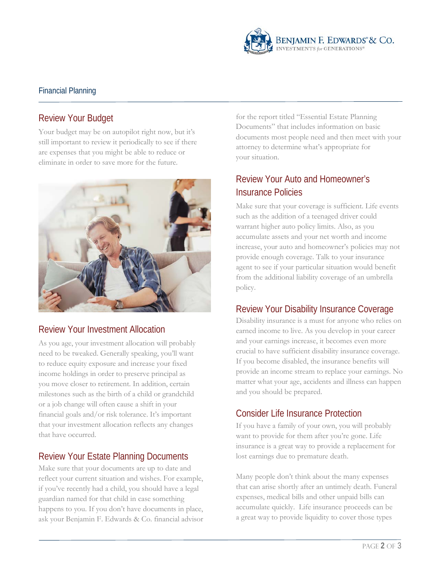

#### Financial Planning

#### Review Your Budget

Your budget may be on autopilot right now, but it's still important to review it periodically to see if there are expenses that you might be able to reduce or eliminate in order to save more for the future.



#### Review Your Investment Allocation

As you age, your investment allocation will probably need to be tweaked. Generally speaking, you'll want to reduce equity exposure and increase your fixed income holdings in order to preserve principal as you move closer to retirement. In addition, certain milestones such as the birth of a child or grandchild or a job change will often cause a shift in your financial goals and/or risk tolerance. It's important that your investment allocation reflects any changes that have occurred.

## Review Your Estate Planning Documents

Make sure that your documents are up to date and reflect your current situation and wishes. For example, if you've recently had a child, you should have a legal guardian named for that child in case something happens to you. If you don't have documents in place, ask your Benjamin F. Edwards & Co. financial advisor for the report titled "Essential Estate Planning Documents" that includes information on basic documents most people need and then meet with your attorney to determine what's appropriate for your situation.

#### Review Your Auto and Homeowner's Insurance Policies

Make sure that your coverage is sufficient. Life events such as the addition of a teenaged driver could warrant higher auto policy limits. Also, as you accumulate assets and your net worth and income increase, your auto and homeowner's policies may not provide enough coverage. Talk to your insurance agent to see if your particular situation would benefit from the additional liability coverage of an umbrella policy.

#### Review Your Disability Insurance Coverage

Disability insurance is a must for anyone who relies on earned income to live. As you develop in your career and your earnings increase, it becomes even more crucial to have sufficient disability insurance coverage. If you become disabled, the insurance benefits will provide an income stream to replace your earnings. No matter what your age, accidents and illness can happen and you should be prepared.

## Consider Life Insurance Protection

If you have a family of your own, you will probably want to provide for them after you're gone. Life insurance is a great way to provide a replacement for lost earnings due to premature death.

Many people don't think about the many expenses that can arise shortly after an untimely death. Funeral expenses, medical bills and other unpaid bills can accumulate quickly. Life insurance proceeds can be a great way to provide liquidity to cover those types